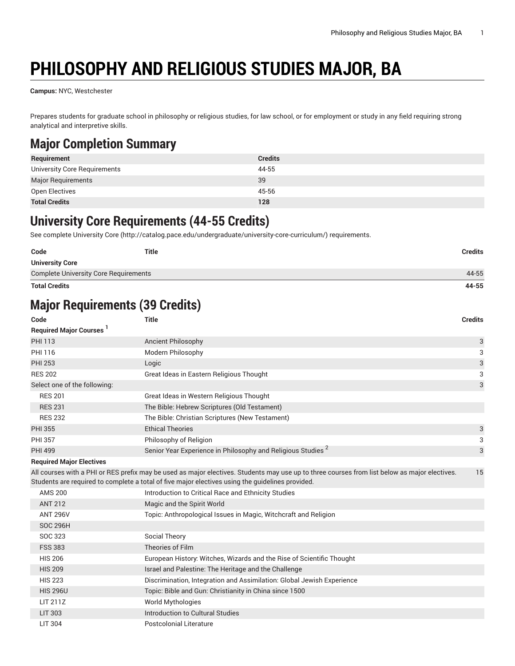# **PHILOSOPHY AND RELIGIOUS STUDIES MAJOR, BA**

**Campus:** NYC, Westchester

Prepares students for graduate school in philosophy or religious studies, for law school, or for employment or study in any field requiring strong analytical and interpretive skills.

# **Major Completion Summary**

| Requirement                  | <b>Credits</b> |
|------------------------------|----------------|
| University Core Requirements | 44-55          |
| <b>Major Requirements</b>    | 39             |
| Open Electives               | 45-56          |
| <b>Total Credits</b>         | 128            |

### **University Core Requirements (44-55 Credits)**

See complete [University](http://catalog.pace.edu/undergraduate/university-core-curriculum/) Core (<http://catalog.pace.edu/undergraduate/university-core-curriculum/>) requirements.

| Code                                         | Title | <b>Credits</b> |
|----------------------------------------------|-------|----------------|
| <b>University Core</b>                       |       |                |
| <b>Complete University Core Requirements</b> |       | 44-55          |
| <b>Total Credits</b>                         |       | 44-55          |

# **Major Requirements (39 Credits)**

| Code                                       | <b>Title</b>                                                                                                                                                                                                                                      | <b>Credits</b> |
|--------------------------------------------|---------------------------------------------------------------------------------------------------------------------------------------------------------------------------------------------------------------------------------------------------|----------------|
| <b>Required Major Courses</b> <sup>1</sup> |                                                                                                                                                                                                                                                   |                |
| PHI 113                                    | <b>Ancient Philosophy</b>                                                                                                                                                                                                                         | 3              |
| PHI 116                                    | Modern Philosophy                                                                                                                                                                                                                                 | 3              |
| <b>PHI 253</b>                             | Logic                                                                                                                                                                                                                                             | 3              |
| <b>RES 202</b>                             | Great Ideas in Eastern Religious Thought                                                                                                                                                                                                          | 3              |
| Select one of the following:               |                                                                                                                                                                                                                                                   | 3              |
| <b>RES 201</b>                             | Great Ideas in Western Religious Thought                                                                                                                                                                                                          |                |
| <b>RES 231</b>                             | The Bible: Hebrew Scriptures (Old Testament)                                                                                                                                                                                                      |                |
| <b>RES 232</b>                             | The Bible: Christian Scriptures (New Testament)                                                                                                                                                                                                   |                |
| <b>PHI 355</b>                             | <b>Ethical Theories</b>                                                                                                                                                                                                                           | 3              |
| <b>PHI 357</b>                             | Philosophy of Religion                                                                                                                                                                                                                            | 3              |
| <b>PHI 499</b>                             | Senior Year Experience in Philosophy and Religious Studies <sup>2</sup>                                                                                                                                                                           | 3              |
| <b>Required Major Electives</b>            |                                                                                                                                                                                                                                                   |                |
|                                            | All courses with a PHI or RES prefix may be used as major electives. Students may use up to three courses from list below as major electives.<br>Students are required to complete a total of five major electives using the guidelines provided. | 15             |
| <b>AMS 200</b>                             | Introduction to Critical Race and Ethnicity Studies                                                                                                                                                                                               |                |
| <b>ANT 212</b>                             | Magic and the Spirit World                                                                                                                                                                                                                        |                |
| <b>ANT 296V</b>                            | Topic: Anthropological Issues in Magic, Witchcraft and Religion                                                                                                                                                                                   |                |
| <b>SOC 296H</b>                            |                                                                                                                                                                                                                                                   |                |
| <b>SOC 323</b>                             | Social Theory                                                                                                                                                                                                                                     |                |
| <b>FSS 383</b>                             | Theories of Film                                                                                                                                                                                                                                  |                |
| <b>HIS 206</b>                             | European History: Witches, Wizards and the Rise of Scientific Thought                                                                                                                                                                             |                |
| <b>HIS 209</b>                             | Israel and Palestine: The Heritage and the Challenge                                                                                                                                                                                              |                |
| <b>HIS 223</b>                             | Discrimination, Integration and Assimilation: Global Jewish Experience                                                                                                                                                                            |                |
| <b>HIS 296U</b>                            | Topic: Bible and Gun: Christianity in China since 1500                                                                                                                                                                                            |                |
| LIT 211Z                                   | <b>World Mythologies</b>                                                                                                                                                                                                                          |                |
| <b>LIT 303</b>                             | Introduction to Cultural Studies                                                                                                                                                                                                                  |                |
| <b>LIT 304</b>                             | Postcolonial Literature                                                                                                                                                                                                                           |                |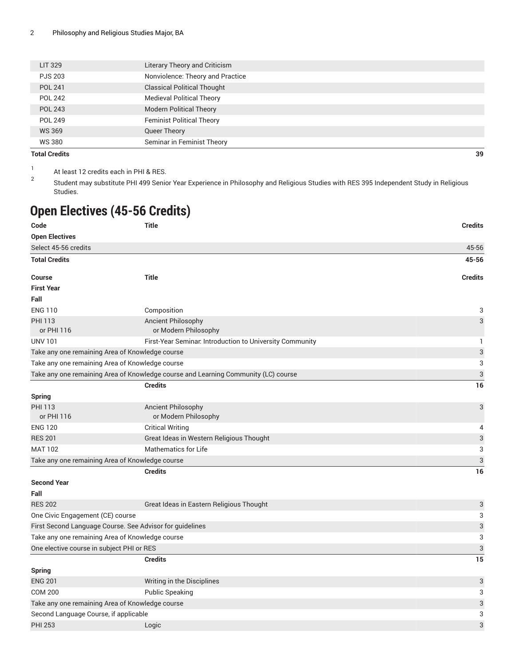| <b>Total Credits</b> |                                    | 39 |
|----------------------|------------------------------------|----|
| WS 380               | Seminar in Feminist Theory         |    |
| <b>WS 369</b>        | Queer Theory                       |    |
| POL 249              | <b>Feminist Political Theory</b>   |    |
| <b>POL 243</b>       | <b>Modern Political Theory</b>     |    |
| <b>POL 242</b>       | <b>Medieval Political Theory</b>   |    |
| <b>POL 241</b>       | <b>Classical Political Thought</b> |    |
| <b>PJS 203</b>       | Nonviolence: Theory and Practice   |    |
| LIT 329              | Literary Theory and Criticism      |    |
|                      |                                    |    |

1 At least 12 credits each in PHI & RES.

2 Student may substitute PHI 499 Senior Year Experience in Philosophy and Religious Studies with RES 395 Independent Study in Religious Studies.

### **Open Electives (45-56 Credits)**

| Code                                      | <b>Title</b>                                                                       | <b>Credits</b>            |
|-------------------------------------------|------------------------------------------------------------------------------------|---------------------------|
| <b>Open Electives</b>                     |                                                                                    |                           |
| Select 45-56 credits                      |                                                                                    | 45-56                     |
| <b>Total Credits</b>                      |                                                                                    | 45-56                     |
| <b>Course</b>                             | <b>Title</b>                                                                       | <b>Credits</b>            |
| <b>First Year</b>                         |                                                                                    |                           |
| Fall                                      |                                                                                    |                           |
| <b>ENG 110</b>                            | Composition                                                                        | 3                         |
| <b>PHI 113</b><br>or PHI 116              | <b>Ancient Philosophy</b><br>or Modern Philosophy                                  | 3                         |
| <b>UNV 101</b>                            | First-Year Seminar. Introduction to University Community                           | 1                         |
|                                           | Take any one remaining Area of Knowledge course                                    | 3                         |
|                                           | Take any one remaining Area of Knowledge course                                    | 3                         |
|                                           | Take any one remaining Area of Knowledge course and Learning Community (LC) course | 3                         |
|                                           | <b>Credits</b>                                                                     | 16                        |
| <b>Spring</b>                             |                                                                                    |                           |
| <b>PHI 113</b>                            | <b>Ancient Philosophy</b>                                                          | 3                         |
| or PHI 116                                | or Modern Philosophy                                                               |                           |
| <b>ENG 120</b>                            | <b>Critical Writing</b>                                                            | 4                         |
| <b>RES 201</b>                            | Great Ideas in Western Religious Thought                                           | 3                         |
| <b>MAT 102</b>                            | <b>Mathematics for Life</b>                                                        | 3                         |
|                                           | Take any one remaining Area of Knowledge course                                    | 3                         |
|                                           | <b>Credits</b>                                                                     | 16                        |
| <b>Second Year</b>                        |                                                                                    |                           |
| Fall                                      |                                                                                    |                           |
| <b>RES 202</b>                            | Great Ideas in Eastern Religious Thought                                           | 3                         |
| One Civic Engagement (CE) course          |                                                                                    | 3                         |
|                                           | First Second Language Course. See Advisor for guidelines                           | 3                         |
|                                           | Take any one remaining Area of Knowledge course                                    | 3                         |
| One elective course in subject PHI or RES |                                                                                    | 3                         |
|                                           | <b>Credits</b>                                                                     | 15                        |
| <b>Spring</b>                             |                                                                                    |                           |
| <b>ENG 201</b>                            | Writing in the Disciplines                                                         | 3                         |
| <b>COM 200</b>                            | <b>Public Speaking</b>                                                             | 3                         |
|                                           | Take any one remaining Area of Knowledge course                                    | $\ensuremath{\mathsf{3}}$ |
| Second Language Course, if applicable     |                                                                                    | 3                         |
| <b>PHI 253</b>                            | Logic                                                                              | 3                         |
|                                           |                                                                                    |                           |